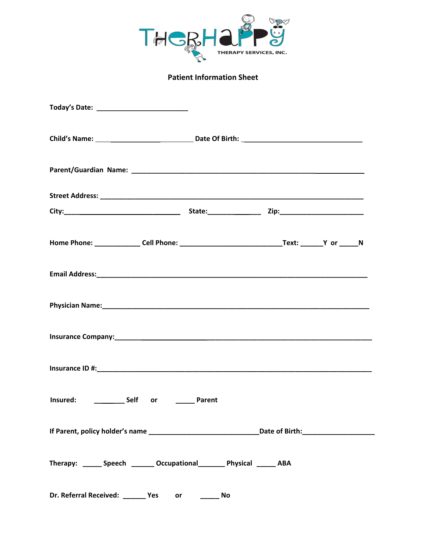

## **Patient Information Sheet**

| Today's Date: ___________________________                               |                                   |  |  |
|-------------------------------------------------------------------------|-----------------------------------|--|--|
|                                                                         |                                   |  |  |
|                                                                         |                                   |  |  |
|                                                                         |                                   |  |  |
|                                                                         |                                   |  |  |
|                                                                         |                                   |  |  |
|                                                                         |                                   |  |  |
|                                                                         |                                   |  |  |
|                                                                         |                                   |  |  |
|                                                                         |                                   |  |  |
| Insured: ____________ Self or ________ Parent                           |                                   |  |  |
|                                                                         |                                   |  |  |
| Therapy: ______ Speech _______ Occupational _______ Physical ______ ABA |                                   |  |  |
| Dr. Referral Received: Ves                                              | $\overline{\phantom{a}}$ No<br>or |  |  |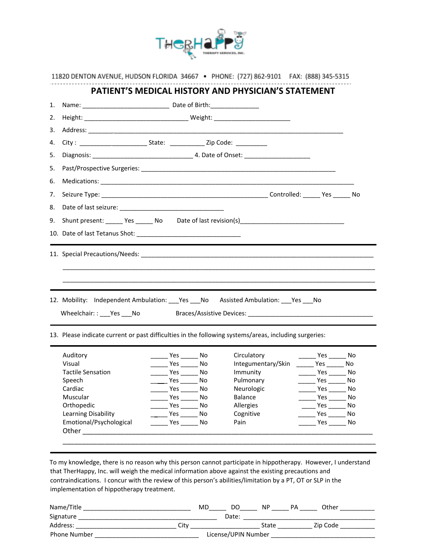

| 1. |                                                                                                       |  |                                                  |                                      |                              | <b>PATIENT'S MEDICAL HISTORY AND PHYSICIAN'S STATEMENT</b> |                                                                                      |                             |
|----|-------------------------------------------------------------------------------------------------------|--|--------------------------------------------------|--------------------------------------|------------------------------|------------------------------------------------------------|--------------------------------------------------------------------------------------|-----------------------------|
| 2. |                                                                                                       |  |                                                  |                                      |                              |                                                            |                                                                                      |                             |
| 3. |                                                                                                       |  |                                                  |                                      |                              |                                                            |                                                                                      |                             |
| 4. |                                                                                                       |  |                                                  |                                      |                              |                                                            |                                                                                      |                             |
| 5. |                                                                                                       |  |                                                  |                                      |                              |                                                            |                                                                                      |                             |
| 5. |                                                                                                       |  |                                                  |                                      |                              |                                                            |                                                                                      |                             |
| 6. |                                                                                                       |  |                                                  |                                      |                              |                                                            |                                                                                      |                             |
| 7. |                                                                                                       |  |                                                  |                                      |                              |                                                            |                                                                                      |                             |
| 8. |                                                                                                       |  |                                                  |                                      |                              |                                                            |                                                                                      |                             |
|    | 9. Shunt present: _______ Yes ______ No Date of last revision(s) __________________________________   |  |                                                  |                                      |                              |                                                            |                                                                                      |                             |
|    |                                                                                                       |  |                                                  |                                      |                              |                                                            |                                                                                      |                             |
|    | 12. Mobility: Independent Ambulation: ___Yes ___No Assisted Ambulation: ___Yes ___No                  |  |                                                  |                                      |                              |                                                            |                                                                                      |                             |
|    | Wheelchair:: ___ Yes ___ No                                                                           |  |                                                  |                                      |                              |                                                            |                                                                                      |                             |
|    | 13. Please indicate current or past difficulties in the following systems/areas, including surgeries: |  |                                                  |                                      |                              |                                                            |                                                                                      |                             |
|    | Auditory                                                                                              |  |                                                  | $\rule{1em}{0.15mm}$ Yes ________ No | Circulatory                  |                                                            | $\frac{1}{\sqrt{1-\frac{1}{2}}}\text{Yes } \frac{1}{\sqrt{1-\frac{1}{2}}}\text{No }$ |                             |
|    | Visual                                                                                                |  |                                                  | $\rule{1em}{0.15mm}$ Yes ________ No |                              | Integumentary/Skin ______ Yes ______ No                    |                                                                                      |                             |
|    | <b>Tactile Sensation</b>                                                                              |  | $\rule{1em}{0.15mm}$ Yes $\rule{1em}{0.15mm}$ No |                                      | Immunity                     |                                                            | $\frac{1}{2}$ Yes $\frac{1}{2}$ No                                                   |                             |
|    | Speech                                                                                                |  | Yes                                              | $\overline{\phantom{0}}$ No          | Pulmonary                    |                                                            | Yes                                                                                  | $\overline{\phantom{0}}$ No |
|    | Cardiac<br>Muscular                                                                                   |  | Yes<br>Yes                                       | No<br>No                             | Neurologic<br><b>Balance</b> |                                                            | Yes<br>Yes                                                                           | No<br>No                    |
|    | Orthopedic                                                                                            |  | Yes                                              | No                                   | Allergies                    |                                                            | Yes                                                                                  | No                          |
|    | Learning Disability                                                                                   |  | Yes                                              | No                                   | Cognitive                    |                                                            | Yes                                                                                  | No                          |
|    | Emotional/Psychological<br>Other                                                                      |  | Yes                                              | No                                   | Pain                         |                                                            | Yes                                                                                  | No                          |

implementation of hippotherapy treatment.

| Name/Title          | MD   | DO                  | ΝP    | PА | Other    |  |
|---------------------|------|---------------------|-------|----|----------|--|
| Signature           |      | Date:               |       |    |          |  |
| Address:            | Citv |                     | State |    | Zip Code |  |
| <b>Phone Number</b> |      | License/UPIN Number |       |    |          |  |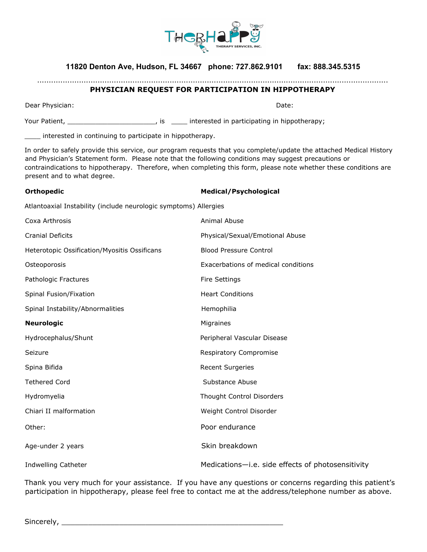

### **11820 Denton Ave, Hudson, FL 34667 phone: 727.862.9101 fax: 888.345.5315**

#### ....................................................................................................................................................... **PHYSICIAN REQUEST FOR PARTICIPATION IN HIPPOTHERAPY**

Dear Physician: Date:

Your Patient, \_\_\_\_\_\_\_\_\_\_\_\_\_\_\_\_\_\_\_\_\_\_\_\_\_\_\_\_\_\_, is \_\_\_\_\_\_ interested in participating in hippotherapy;

\_\_\_\_ interested in continuing to participate in hippotherapy.

In order to safely provide this service, our program requests that you complete/update the attached Medical History and Physician's Statement form. Please note that the following conditions may suggest precautions or contraindications to hippotherapy. Therefore, when completing this form, please note whether these conditions are present and to what degree.

| <b>Medical/Psychological</b> |
|------------------------------|
|                              |

Atlantoaxial Instability (include neurologic symptoms) Allergies

| Coxa Arthrosis                               | Animal Abuse                                      |
|----------------------------------------------|---------------------------------------------------|
| <b>Cranial Deficits</b>                      | Physical/Sexual/Emotional Abuse                   |
| Heterotopic Ossification/Myositis Ossificans | <b>Blood Pressure Control</b>                     |
| Osteoporosis                                 | Exacerbations of medical conditions               |
| Pathologic Fractures                         | <b>Fire Settings</b>                              |
| Spinal Fusion/Fixation                       | <b>Heart Conditions</b>                           |
| Spinal Instability/Abnormalities             | Hemophilia                                        |
| <b>Neurologic</b>                            | Migraines                                         |
| Hydrocephalus/Shunt                          | Peripheral Vascular Disease                       |
| Seizure                                      | Respiratory Compromise                            |
| Spina Bifida                                 | <b>Recent Surgeries</b>                           |
| <b>Tethered Cord</b>                         | Substance Abuse                                   |
| Hydromyelia                                  | <b>Thought Control Disorders</b>                  |
| Chiari II malformation                       | Weight Control Disorder                           |
| Other:                                       | Poor endurance                                    |
| Age-under 2 years                            | Skin breakdown                                    |
| Indwelling Catheter                          | Medications-i.e. side effects of photosensitivity |

Thank you very much for your assistance. If you have any questions or concerns regarding this patient's participation in hippotherapy, please feel free to contact me at the address/telephone number as above.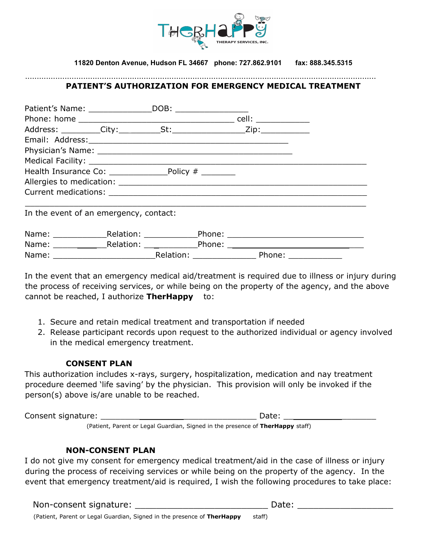

**11820 Denton Avenue, Hudson FL 34667 phone: 727.862.9101 fax: 888.345.5315**

### **PATIENT'S AUTHORIZATION FOR EMERGENCY MEDICAL TREATMENT**

.......................................................................................................................................................

| Health Insurance Co: Policy # _______  |  |  |  |
|----------------------------------------|--|--|--|
|                                        |  |  |  |
|                                        |  |  |  |
| In the event of an emergency, contact: |  |  |  |
|                                        |  |  |  |
|                                        |  |  |  |
|                                        |  |  |  |

In the event that an emergency medical aid/treatment is required due to illness or injury during the process of receiving services, or while being on the property of the agency, and the above cannot be reached, I authorize **TherHappy** to:

- 1. Secure and retain medical treatment and transportation if needed
- 2. Release participant records upon request to the authorized individual or agency involved in the medical emergency treatment.

#### **CONSENT PLAN**

This authorization includes x-rays, surgery, hospitalization, medication and nay treatment procedure deemed 'life saving' by the physician. This provision will only be invoked if the person(s) above is/are unable to be reached.

Consent signature: \_\_\_\_\_\_\_\_\_\_\_\_\_\_\_\_\_\_\_\_\_\_\_\_\_\_\_\_\_\_\_\_ Date: \_\_\_\_\_\_\_\_\_\_\_\_\_\_\_\_\_\_\_ (Patient, Parent or Legal Guardian, Signed in the presence of **TherHappy** staff)

### **NON-CONSENT PLAN**

I do not give my consent for emergency medical treatment/aid in the case of illness or injury during the process of receiving services or while being on the property of the agency. In the event that emergency treatment/aid is required, I wish the following procedures to take place:

Non-consent signature: \_\_\_\_\_\_\_\_\_\_\_\_\_\_\_\_\_\_\_\_\_\_\_\_\_ Date: \_\_\_\_\_\_\_\_\_\_\_\_\_\_\_\_\_\_

(Patient, Parent or Legal Guardian, Signed in the presence of **TherHappy** staff)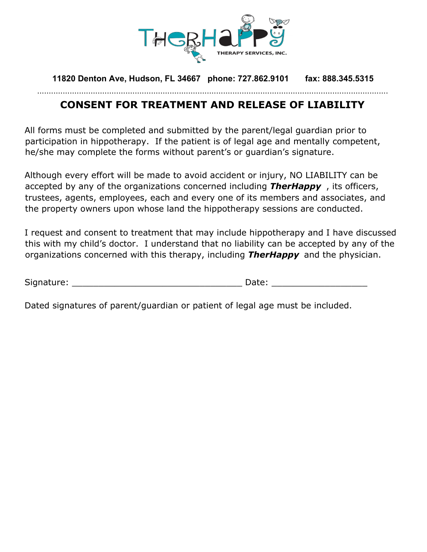

**11820 Denton Ave, Hudson, FL 34667 phone: 727.862.9101 fax: 888.345.5315** .......................................................................................................................................................

## **CONSENT FOR TREATMENT AND RELEASE OF LIABILITY**

All forms must be completed and submitted by the parent/legal guardian prior to participation in hippotherapy. If the patient is of legal age and mentally competent, he/she may complete the forms without parent's or guardian's signature.

Although every effort will be made to avoid accident or injury, NO LIABILITY can be accepted by any of the organizations concerned including *TherHappy* , its officers, trustees, agents, employees, each and every one of its members and associates, and the property owners upon whose land the hippotherapy sessions are conducted.

I request and consent to treatment that may include hippotherapy and I have discussed this with my child's doctor. I understand that no liability can be accepted by any of the organizations concerned with this therapy, including *TherHappy* and the physician.

| Signature: | $\mathsf{a}$ to |
|------------|-----------------|
|            |                 |

Dated signatures of parent/guardian or patient of legal age must be included.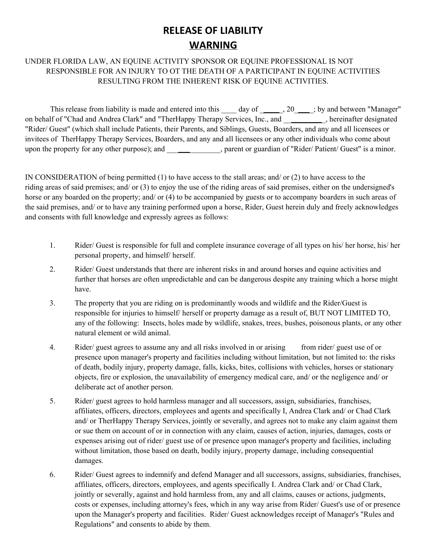## **RELEASE OF LIABILITY WARNING**

## UNDER FLORIDA LAW, AN EQUINE ACTIVITY SPONSOR OR EQUINE PROFESSIONAL IS NOT RESPONSIBLE FOR AN INJURY TO OT THE DEATH OF A PARTICIPANT IN EQUINE ACTIVITIES RESULTING FROM THE INHERENT RISK OF EQUINE ACTIVITIES.

This release from liability is made and entered into this  $\qquad \qquad$  day of  $\qquad \qquad$ , 20  $\qquad \qquad$ ; by and between "Manager" on behalf of "Chad and Andrea Clark" and "TherHappy Therapy Services, Inc., and \_\_\_\_\_\_\_\_\_\_\_, hereinafter designated "Rider/ Guest" (which shall include Patients, their Parents, and Siblings, Guests, Boarders, and any and all licensees or invitees of TherHappy Therapy Services, Boarders, and any and all licensees or any other individuals who come about upon the property for any other purpose); and \_\_\_\_\_\_\_\_\_\_\_\_, parent or guardian of "Rider/ Patient/ Guest" is a minor.

IN CONSIDERATION of being permitted (1) to have access to the stall areas; and/ or (2) to have access to the riding areas of said premises; and/ or (3) to enjoy the use of the riding areas of said premises, either on the undersigned's horse or any boarded on the property; and/ or (4) to be accompanied by guests or to accompany boarders in such areas of the said premises, and/ or to have any training performed upon a horse, Rider, Guest herein duly and freely acknowledges and consents with full knowledge and expressly agrees as follows:

- 1. Rider/ Guest is responsible for full and complete insurance coverage of all types on his/ her horse, his/ her personal property, and himself/ herself.
- 2. Rider/ Guest understands that there are inherent risks in and around horses and equine activities and further that horses are often unpredictable and can be dangerous despite any training which a horse might have.
- 3. The property that you are riding on is predominantly woods and wildlife and the Rider/Guest is responsible for injuries to himself/ herself or property damage as a result of, BUT NOT LIMITED TO, any of the following: Insects, holes made by wildlife, snakes, trees, bushes, poisonous plants, or any other natural element or wild animal.
- 4. Rider/ guest agrees to assume any and all risks involved in or arising from rider/ guest use of or presence upon manager's property and facilities including without limitation, but not limited to: the risks of death, bodily injury, property damage, falls, kicks, bites, collisions with vehicles, horses or stationary objects, fire or explosion, the unavailability of emergency medical care, and/ or the negligence and/ or deliberate act of another person.
- 5. Rider/ guest agrees to hold harmless manager and all successors, assign, subsidiaries, franchises, affiliates, officers, directors, employees and agents and specifically I, Andrea Clark and/ or Chad Clark and/ or TherHappy Therapy Services, jointly or severally, and agrees not to make any claim against them or sue them on account of or in connection with any claim, causes of action, injuries, damages, costs or expenses arising out of rider/ guest use of or presence upon manager's property and facilities, including without limitation, those based on death, bodily injury, property damage, including consequential damages.
- 6. Rider/ Guest agrees to indemnify and defend Manager and all successors, assigns, subsidiaries, franchises, affiliates, officers, directors, employees, and agents specifically I. Andrea Clark and/ or Chad Clark, jointly or severally, against and hold harmless from, any and all claims, causes or actions, judgments, costs or expenses, including attorney's fees, which in any way arise from Rider/ Guest's use of or presence upon the Manager's property and facilities. Rider/ Guest acknowledges receipt of Manager's "Rules and Regulations" and consents to abide by them.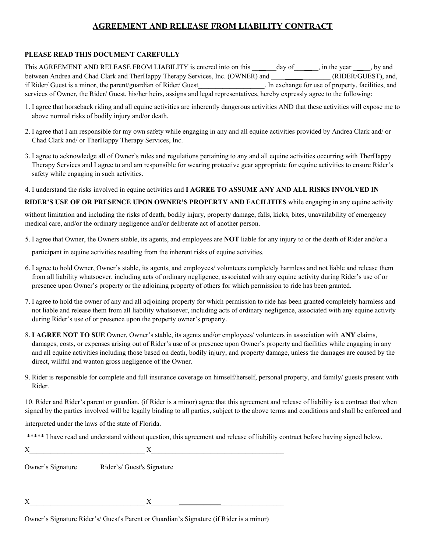## **AGREEMENT AND RELEASE FROM LIABILITY CONTRACT**

#### **PLEASE READ THIS DOCUMENT CAREFULLY**

This AGREEMENT AND RELEASE FROM LIABILITY is entered into on this  $\qquad$  day of  $\qquad$ , in the year  $\qquad$ , by and between Andrea and Chad Clark and TherHappy Therapy Services, Inc. (OWNER) and \_\_\_\_\_\_\_\_\_\_\_\_\_\_\_ (RIDER/GUEST), and, if Rider/ Guest is a minor, the parent/guardian of Rider/ Guest\_\_\_\_\_\_\_\_\_\_\_\_\_\_\_\_\_\_\_. In exchange for use of property, facilities, and services of Owner, the Rider/ Guest, his/her heirs, assigns and legal representatives, hereby expressly agree to the following:

- 1. I agree that horseback riding and all equine activities are inherently dangerous activities AND that these activities will expose me to above normal risks of bodily injury and/or death.
- 2. I agree that I am responsible for my own safety while engaging in any and all equine activities provided by Andrea Clark and/ or Chad Clark and/ or TherHappy Therapy Services, Inc.
- 3. I agree to acknowledge all of Owner's rules and regulations pertaining to any and all equine activities occurring with TherHappy Therapy Services and I agree to and am responsible for wearing protective gear appropriate for equine activities to ensure Rider's safety while engaging in such activities.
- 4. I understand the risks involved in equine activities and **I AGREE TO ASSUME ANY AND ALL RISKS INVOLVED IN**

#### **RIDER'S USE OF OR PRESENCE UPON OWNER'S PROPERTY AND FACILITIES** while engaging in any equine activity

without limitation and including the risks of death, bodily injury, property damage, falls, kicks, bites, unavailability of emergency medical care, and/or the ordinary negligence and/or deliberate act of another person.

5. I agree that Owner, the Owners stable, its agents, and employees are **NOT** liable for any injury to or the death of Rider and/or a

participant in equine activities resulting from the inherent risks of equine activities.

- 6. I agree to hold Owner, Owner's stable, its agents, and employees/ volunteers completely harmless and not liable and release them from all liability whatsoever, including acts of ordinary negligence, associated with any equine activity during Rider's use of or presence upon Owner's property or the adjoining property of others for which permission to ride has been granted.
- 7. I agree to hold the owner of any and all adjoining property for which permission to ride has been granted completely harmless and not liable and release them from all liability whatsoever, including acts of ordinary negligence, associated with any equine activity during Rider's use of or presence upon the property owner's property.
- 8. **I AGREE NOT TO SUE** Owner, Owner's stable, its agents and/or employees/ volunteers in association with **ANY** claims, damages, costs, or expenses arising out of Rider's use of or presence upon Owner's property and facilities while engaging in any and all equine activities including those based on death, bodily injury, and property damage, unless the damages are caused by the direct, willful and wanton gross negligence of the Owner.
- 9. Rider is responsible for complete and full insurance coverage on himself/herself, personal property, and family/ guests present with Rider.

10. Rider and Rider's parent or guardian, (if Rider is a minor) agree that this agreement and release of liability is a contract that when signed by the parties involved will be legally binding to all parties, subject to the above terms and conditions and shall be enforced and

interpreted under the laws of the state of Florida.

| **** I have read and understand without question, this agreement and release of liability contract before having signed below. |  |  |  |
|--------------------------------------------------------------------------------------------------------------------------------|--|--|--|
|--------------------------------------------------------------------------------------------------------------------------------|--|--|--|

 $X$  and  $X$ 

Owner's Signature Rider's/ Guest's Signature

 $X$  and  $X$  and  $X$  and  $X$  and  $X$  and  $X$  and  $X$  and  $X$  and  $X$  and  $X$  and  $X$  and  $X$  and  $X$  and  $X$  and  $X$  and  $X$  and  $X$  and  $X$  and  $X$  and  $X$  and  $X$  and  $X$  and  $X$  and  $X$  and  $X$  and  $X$  and  $X$  and  $X$  a

Owner's Signature Rider's/ Guest's Parent or Guardian's Signature (if Rider is a minor)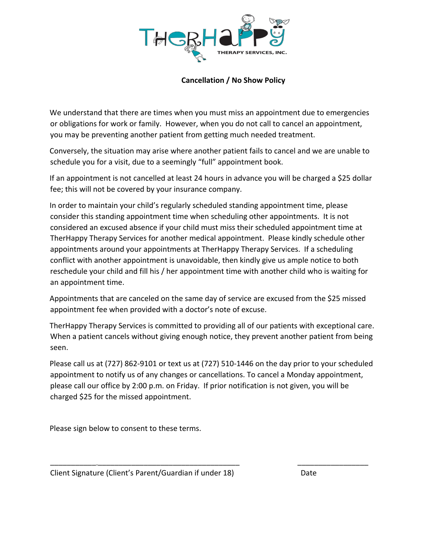

### **Cancellation / No Show Policy**

We understand that there are times when you must miss an appointment due to emergencies or obligations for work or family. However, when you do not call to cancel an appointment, you may be preventing another patient from getting much needed treatment.

Conversely, the situation may arise where another patient fails to cancel and we are unable to schedule you for a visit, due to a seemingly "full" appointment book.

If an appointment is not cancelled at least 24 hours in advance you will be charged a \$25 dollar fee; this will not be covered by your insurance company.

In order to maintain your child's regularly scheduled standing appointment time, please consider this standing appointment time when scheduling other appointments. It is not considered an excused absence if your child must miss their scheduled appointment time at TherHappy Therapy Services for another medical appointment. Please kindly schedule other appointments around your appointments at TherHappy Therapy Services. If a scheduling conflict with another appointment is unavoidable, then kindly give us ample notice to both reschedule your child and fill his / her appointment time with another child who is waiting for an appointment time.

Appointments that are canceled on the same day of service are excused from the \$25 missed appointment fee when provided with a doctor's note of excuse.

TherHappy Therapy Services is committed to providing all of our patients with exceptional care. When a patient cancels without giving enough notice, they prevent another patient from being seen.

Please call us at (727) 862-9101 or text us at (727) 510-1446 on the day prior to your scheduled appointment to notify us of any changes or cancellations. To cancel a Monday appointment, please call our office by 2:00 p.m. on Friday. If prior notification is not given, you will be charged \$25 for the missed appointment.

\_\_\_\_\_\_\_\_\_\_\_ \_\_\_\_\_\_\_\_\_\_\_\_\_\_\_\_\_\_\_\_\_\_\_\_\_\_\_\_\_\_\_\_\_\_ \_\_\_\_\_\_\_\_\_\_\_\_\_\_\_\_\_

Please sign below to consent to these terms.

Client Signature (Client's Parent/Guardian if under 18) Date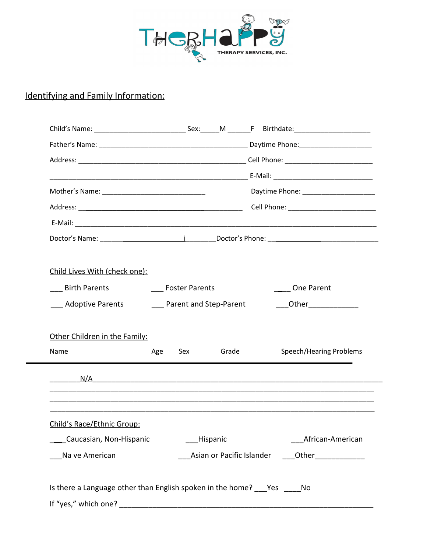

## Identifying and Family Information:

|                                                                     |     |                        |          | Daytime Phone: ___________________                                                                                                                                                                                                 |
|---------------------------------------------------------------------|-----|------------------------|----------|------------------------------------------------------------------------------------------------------------------------------------------------------------------------------------------------------------------------------------|
|                                                                     |     |                        |          |                                                                                                                                                                                                                                    |
|                                                                     |     |                        |          |                                                                                                                                                                                                                                    |
|                                                                     |     |                        |          |                                                                                                                                                                                                                                    |
|                                                                     |     |                        |          |                                                                                                                                                                                                                                    |
| Child Lives With (check one):                                       |     |                        |          |                                                                                                                                                                                                                                    |
| <b>Birth Parents</b>                                                |     | <b>Foster Parents</b>  |          | One Parent                                                                                                                                                                                                                         |
| <b>Adoptive Parents</b>                                             |     | Parent and Step-Parent |          | <b>Other Contract Contract Contract Contract Contract Contract Contract Contract Contract Contract Contract Contract Contract Contract Contract Contract Contract Contract Contract Contract Contract Contract Contract Contra</b> |
|                                                                     |     |                        |          |                                                                                                                                                                                                                                    |
| Other Children in the Family:                                       |     |                        |          |                                                                                                                                                                                                                                    |
| Name                                                                | Age | Sex                    | Grade    | Speech/Hearing Problems                                                                                                                                                                                                            |
|                                                                     |     |                        |          |                                                                                                                                                                                                                                    |
|                                                                     |     |                        |          |                                                                                                                                                                                                                                    |
|                                                                     |     |                        |          |                                                                                                                                                                                                                                    |
| Child's Race/Ethnic Group:                                          |     |                        |          |                                                                                                                                                                                                                                    |
| __ Caucasian, Non-Hispanic                                          |     |                        | Hispanic | African-American                                                                                                                                                                                                                   |
|                                                                     |     |                        |          |                                                                                                                                                                                                                                    |
| Na ve American                                                      |     |                        |          |                                                                                                                                                                                                                                    |
|                                                                     |     |                        |          |                                                                                                                                                                                                                                    |
| Is there a Language other than English spoken in the home? Yes _ No |     |                        |          |                                                                                                                                                                                                                                    |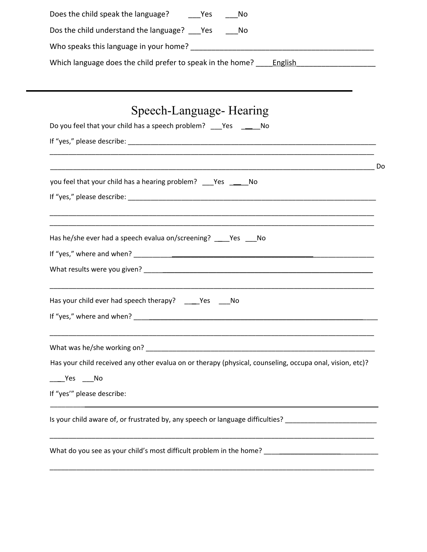| Does the child speak the language? _______Yes<br>– No                                                      |    |
|------------------------------------------------------------------------------------------------------------|----|
| Dos the child understand the language? Yes No                                                              |    |
|                                                                                                            |    |
|                                                                                                            |    |
|                                                                                                            |    |
| Speech-Language- Hearing                                                                                   |    |
| Do you feel that your child has a speech problem? ___ Yes _______ No                                       |    |
|                                                                                                            |    |
|                                                                                                            |    |
|                                                                                                            | Do |
| you feel that your child has a hearing problem? ___Yes _____No                                             |    |
|                                                                                                            |    |
| Has he/she ever had a speech evalua on/screening? ____Yes ___No                                            |    |
|                                                                                                            |    |
|                                                                                                            |    |
| Has your child ever had speech therapy? ______ Yes _____ No                                                |    |
| If "yes," where and when?                                                                                  |    |
|                                                                                                            |    |
| Has your child received any other evalua on or therapy (physical, counseling, occupa onal, vision, etc)?   |    |
| _ Yes No                                                                                                   |    |
| If "yes"" please describe:                                                                                 |    |
| Is your child aware of, or frustrated by, any speech or language difficulties? ___________________________ |    |
| What do you see as your child's most difficult problem in the home? ________________________________       |    |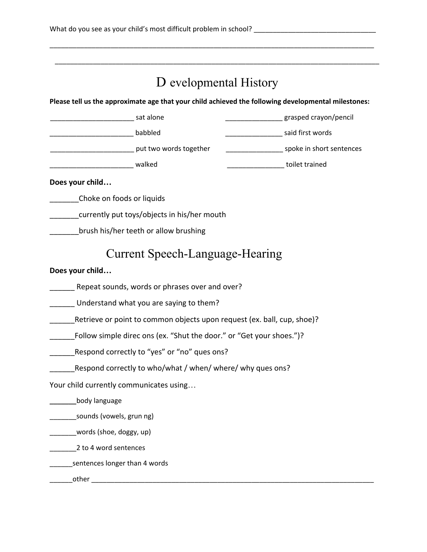# D evelopmental History

\_\_\_\_\_\_\_\_\_\_\_\_\_\_\_\_\_\_\_\_\_\_\_\_\_\_\_\_\_\_\_\_\_\_\_\_\_\_\_\_\_\_\_\_\_\_\_\_\_\_\_\_\_\_\_\_\_\_\_\_\_\_\_\_\_\_\_\_\_\_\_\_\_\_\_\_\_\_\_\_\_\_\_\_\_

\_\_\_\_\_\_\_\_\_\_\_\_\_\_\_\_\_\_\_\_\_\_\_\_\_\_\_\_\_\_\_\_\_\_\_\_\_\_\_\_\_\_\_\_\_\_\_\_\_\_\_\_\_\_\_\_\_\_\_\_\_\_\_\_\_\_\_\_\_\_\_\_\_\_\_\_\_\_\_\_\_\_\_\_\_

**Please tell us the approximate age that your child achieved the following developmental milestones:**

| sat alone              | grasped crayon/pencil    |
|------------------------|--------------------------|
| babbled                | said first words         |
| put two words together | spoke in short sentences |
| walked                 | toilet trained           |

**Does your child…**

\_\_\_\_\_\_\_Choke on foods or liquids

\_\_\_\_\_\_\_currently put toys/objects in his/her mouth

**\_\_\_\_\_\_\_\_brush his/her teeth or allow brushing** 

## Current Speech-Language-Hearing

**Does your child…**

**\_\_\_\_\_\_** Repeat sounds, words or phrases over and over?

\_\_\_\_\_\_ Understand what you are saying to them?

\_\_\_\_\_\_Retrieve or point to common objects upon request (ex. ball, cup, shoe)?

Follow simple direc ons (ex. "Shut the door." or "Get your shoes.")?

Respond correctly to "yes" or "no" ques ons?

Respond correctly to who/what / when/ where/ why ques ons?

Your child currently communicates using…

\_\_\_\_\_\_\_body language

\_\_\_\_\_\_\_sounds (vowels, grun ng)

\_\_\_\_\_\_\_words (shoe, doggy, up)

\_\_\_\_\_\_\_2 to 4 word sentences

**\_\_\_\_\_\_\_**sentences longer than 4 words

\_\_\_\_\_\_other \_\_\_\_\_\_\_\_\_\_\_\_\_\_\_\_\_\_\_\_\_\_\_\_\_\_\_\_\_\_\_\_\_\_\_\_\_\_\_\_\_\_\_\_\_\_\_\_\_\_\_\_\_\_\_\_\_\_\_\_\_\_\_\_\_\_\_\_\_\_\_\_\_\_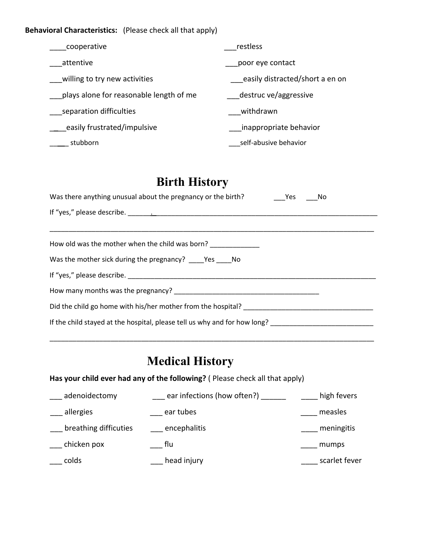**Behavioral Characteristics:** (Please check all that apply)

| cooperative                             | restless                        |
|-----------------------------------------|---------------------------------|
| attentive                               | poor eye contact                |
| willing to try new activities           | easily distracted/short a en on |
| plays alone for reasonable length of me | destruc ve/aggressive           |
| separation difficulties                 | withdrawn                       |
| easily frustrated/impulsive             | inappropriate behavior          |
| stubborn                                | self-abusive behavior           |

# **Birth History**

| Was there anything unusual about the pregnancy or the birth?<br>Yes No    |  |  |  |
|---------------------------------------------------------------------------|--|--|--|
|                                                                           |  |  |  |
|                                                                           |  |  |  |
| How old was the mother when the child was born? ____________              |  |  |  |
| Was the mother sick during the pregnancy? ______ Yes _____ No             |  |  |  |
|                                                                           |  |  |  |
|                                                                           |  |  |  |
| Did the child go home with his/her mother from the hospital?              |  |  |  |
| If the child stayed at the hospital, please tell us why and for how long? |  |  |  |

\_\_\_\_\_\_\_\_\_\_\_\_\_\_\_\_\_\_\_\_\_\_\_\_\_\_\_\_\_\_\_\_\_\_\_\_\_\_\_\_\_\_\_\_\_\_\_\_\_\_\_\_\_\_\_\_\_\_\_\_\_\_\_\_\_\_\_\_\_\_\_\_\_\_\_\_\_\_\_\_\_\_\_\_\_

# **Medical History**

**Has your child ever had any of the following?** ( Please check all that apply)

| adenoidectomy         | ear infections (how often?) | high fevers   |
|-----------------------|-----------------------------|---------------|
| allergies             | ear tubes                   | measles       |
| breathing difficuties | encephalitis                | meningitis    |
| chicken pox           | flu                         | mumps         |
| colds                 | head injury                 | scarlet fever |